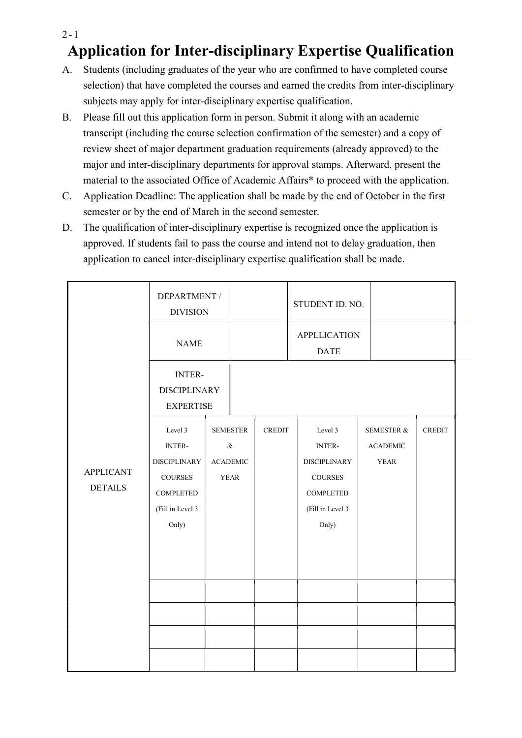## $2 - 1$ Application for Inter-disciplinary Expertise Qualification

- A. Students (including graduates of the year who are confirmed to have completed course selection) that have completed the courses and earned the credits from inter-disciplinary subjects may apply for inter-disciplinary expertise qualification.
- B. Please fill out this application form in person. Submit it along with an academic transcript (including the course selection confirmation of the semester) and a copy of review sheet of major department graduation requirements (already approved) to the major and inter-disciplinary departments for approval stamps. Afterward, present the material to the associated Office of Academic Affairs\* to proceed with the application.
- C. Application Deadline: The application shall be made by the end of October in the first semester or by the end of March in the second semester.
- D. The qualification of inter-disciplinary expertise is recognized once the application is approved. If students fail to pass the course and intend not to delay graduation, then application to cancel inter-disciplinary expertise qualification shall be made.

|                                    | <b>DEPARTMENT /</b><br><b>DIVISION</b>                                                                                     |  |                                                           |               | STUDENT ID. NO.                                                                                                        |  |                                                         |               |
|------------------------------------|----------------------------------------------------------------------------------------------------------------------------|--|-----------------------------------------------------------|---------------|------------------------------------------------------------------------------------------------------------------------|--|---------------------------------------------------------|---------------|
| <b>APPLICANT</b><br><b>DETAILS</b> | <b>NAME</b>                                                                                                                |  |                                                           |               | <b>APPLLICATION</b><br><b>DATE</b>                                                                                     |  |                                                         |               |
|                                    | <b>INTER-</b><br><b>DISCIPLINARY</b><br><b>EXPERTISE</b>                                                                   |  |                                                           |               |                                                                                                                        |  |                                                         |               |
|                                    | Level 3<br><b>INTER-</b><br><b>DISCIPLINARY</b><br>$\mathop{\text{\rm COURSES}}$<br>COMPLETED<br>(Fill in Level 3<br>Only) |  | <b>SEMESTER</b><br>$\&$<br><b>ACADEMIC</b><br><b>YEAR</b> | <b>CREDIT</b> | Level 3<br>INTER-<br><b>DISCIPLINARY</b><br>$\mathop{\text{COUNSES}}$<br><b>COMPLETED</b><br>(Fill in Level 3<br>Only) |  | <b>SEMESTER &amp;</b><br><b>ACADEMIC</b><br><b>YEAR</b> | <b>CREDIT</b> |
|                                    |                                                                                                                            |  |                                                           |               |                                                                                                                        |  |                                                         |               |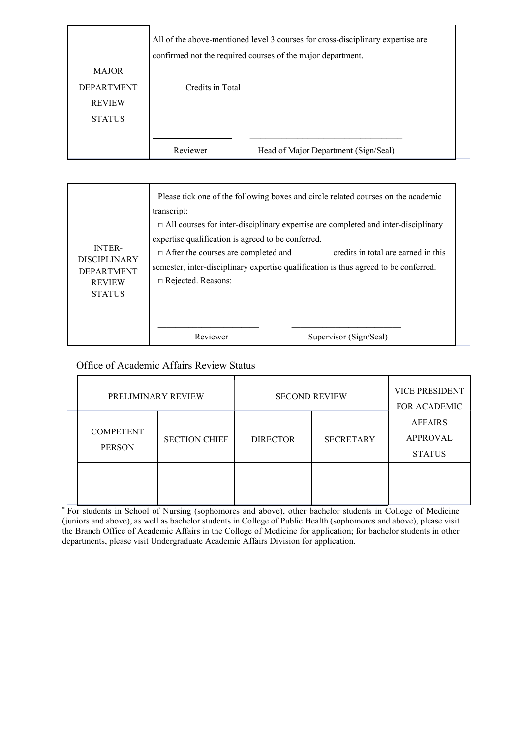|                   | All of the above-mentioned level 3 courses for cross-disciplinary expertise are<br>confirmed not the required courses of the major department. |  |  |
|-------------------|------------------------------------------------------------------------------------------------------------------------------------------------|--|--|
| <b>MAJOR</b>      |                                                                                                                                                |  |  |
| <b>DEPARTMENT</b> | Credits in Total                                                                                                                               |  |  |
| <b>REVIEW</b>     |                                                                                                                                                |  |  |
| <b>STATUS</b>     |                                                                                                                                                |  |  |
|                   |                                                                                                                                                |  |  |
|                   | Reviewer<br>Head of Major Department (Sign/Seal)                                                                                               |  |  |

| <b>INTER-</b><br><b>DISCIPLINARY</b><br><b>DEPARTMENT</b><br><b>REVIEW</b><br><b>STATUS</b> | transcript:<br>expertise qualification is agreed to be conferred.<br>$\Box$ Rejected. Reasons: | Please tick one of the following boxes and circle related courses on the academic<br>$\Box$ All courses for inter-disciplinary expertise are completed and inter-disciplinary<br>$\Box$ After the courses are completed and credits in total are earned in this<br>semester, inter-disciplinary expertise qualification is thus agreed to be conferred. |
|---------------------------------------------------------------------------------------------|------------------------------------------------------------------------------------------------|---------------------------------------------------------------------------------------------------------------------------------------------------------------------------------------------------------------------------------------------------------------------------------------------------------------------------------------------------------|
|                                                                                             | Reviewer                                                                                       | Supervisor (Sign/Seal)                                                                                                                                                                                                                                                                                                                                  |

## Office of Academic Affairs Review Status

| PRELIMINARY REVIEW                |                      | <b>SECOND REVIEW</b> | <b>VICE PRESIDENT</b><br><b>FOR ACADEMIC</b> |                                                    |  |
|-----------------------------------|----------------------|----------------------|----------------------------------------------|----------------------------------------------------|--|
| <b>COMPETENT</b><br><b>PERSON</b> | <b>SECTION CHIEF</b> | <b>DIRECTOR</b>      | <b>SECRETARY</b>                             | <b>AFFAIRS</b><br><b>APPROVAL</b><br><b>STATUS</b> |  |
|                                   |                      |                      |                                              |                                                    |  |

\* For students in School of Nursing (sophomores and above), other bachelor students in College of Medicine (juniors and above), as well as bachelor students in College of Public Health (sophomores and above), please visit the Branch Office of Academic Affairs in the College of Medicine for application; for bachelor students in other departments, please visit Undergraduate Academic Affairs Division for application.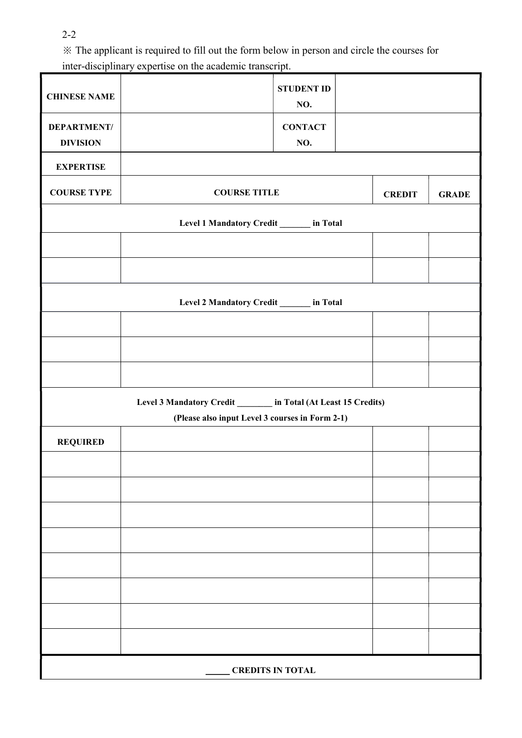2-2

※ The applicant is required to fill out the form below in person and circle the courses for inter-disciplinary expertise on the academic transcript.

| <b>CHINESE NAME</b>                                              |                                      | <b>STUDENT ID</b><br>NO. |  |              |  |
|------------------------------------------------------------------|--------------------------------------|--------------------------|--|--------------|--|
| <b>DEPARTMENT/</b><br><b>DIVISION</b>                            |                                      | <b>CONTACT</b><br>NO.    |  |              |  |
| <b>EXPERTISE</b>                                                 |                                      |                          |  |              |  |
| <b>COURSE TYPE</b>                                               | <b>COURSE TITLE</b><br><b>CREDIT</b> |                          |  | <b>GRADE</b> |  |
| Level 1 Mandatory Credit _______ in Total                        |                                      |                          |  |              |  |
|                                                                  |                                      |                          |  |              |  |
|                                                                  |                                      |                          |  |              |  |
| Level 2 Mandatory Credit ______ in Total                         |                                      |                          |  |              |  |
|                                                                  |                                      |                          |  |              |  |
|                                                                  |                                      |                          |  |              |  |
|                                                                  |                                      |                          |  |              |  |
| Level 3 Mandatory Credit ________ in Total (At Least 15 Credits) |                                      |                          |  |              |  |
| (Please also input Level 3 courses in Form 2-1)                  |                                      |                          |  |              |  |
| <b>REQUIRED</b>                                                  |                                      |                          |  |              |  |
|                                                                  |                                      |                          |  |              |  |
|                                                                  |                                      |                          |  |              |  |
|                                                                  |                                      |                          |  |              |  |
|                                                                  |                                      |                          |  |              |  |
|                                                                  |                                      |                          |  |              |  |
|                                                                  |                                      |                          |  |              |  |
|                                                                  |                                      |                          |  |              |  |
|                                                                  |                                      |                          |  |              |  |
| <b>CREDITS IN TOTAL</b>                                          |                                      |                          |  |              |  |